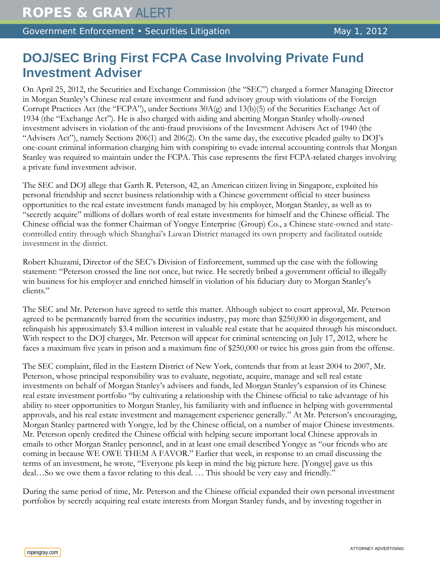Government Enforcement • Securities Litigation May 1, 2012

## **DOJ/SEC Bring First FCPA Case Involving Private Fund Investment Adviser**

On April 25, 2012, the Securities and Exchange Commission (the "SEC") charged a former Managing Director in Morgan Stanley's Chinese real estate investment and fund advisory group with violations of the Foreign Corrupt Practices Act (the "FCPA"), under Sections 30A(g) and 13(b)(5) of the Securities Exchange Act of 1934 (the "Exchange Act"). He is also charged with aiding and abetting Morgan Stanley wholly-owned investment advisers in violation of the anti-fraud provisions of the Investment Advisers Act of 1940 (the "Advisers Act"), namely Sections 206(1) and 206(2). On the same day, the executive pleaded guilty to DOJ's one-count criminal information charging him with conspiring to evade internal accounting controls that Morgan Stanley was required to maintain under the FCPA. This case represents the first FCPA-related charges involving a private fund investment advisor.

The SEC and DOJ allege that Garth R. Peterson, 42, an American citizen living in Singapore, exploited his personal friendship and secret business relationship with a Chinese government official to steer business opportunities to the real estate investment funds managed by his employer, Morgan Stanley, as well as to "secretly acquire" millions of dollars worth of real estate investments for himself and the Chinese official. The Chinese official was the former Chairman of Yongye Enterprise (Group) Co., a Chinese state-owned and statecontrolled entity through which Shanghai's Luwan District managed its own property and facilitated outside investment in the district.

Robert Khuzami, Director of the SEC's Division of Enforcement, summed up the case with the following statement: "Peterson crossed the line not once, but twice. He secretly bribed a government official to illegally win business for his employer and enriched himself in violation of his fiduciary duty to Morgan Stanley's clients."

The SEC and Mr. Peterson have agreed to settle this matter. Although subject to court approval, Mr. Peterson agreed to be permanently barred from the securities industry, pay more than \$250,000 in disgorgement, and relinquish his approximately \$3.4 million interest in valuable real estate that he acquired through his misconduct. With respect to the DOJ charges, Mr. Peterson will appear for criminal sentencing on July 17, 2012, where he faces a maximum five years in prison and a maximum fine of \$250,000 or twice his gross gain from the offense.

The SEC complaint, filed in the Eastern District of New York, contends that from at least 2004 to 2007, Mr. Peterson, whose principal responsibility was to evaluate, negotiate, acquire, manage and sell real estate investments on behalf of Morgan Stanley's advisers and funds, led Morgan Stanley's expansion of its Chinese real estate investment portfolio "by cultivating a relationship with the Chinese official to take advantage of his ability to steer opportunities to Morgan Stanley, his familiarity with and influence in helping with governmental approvals, and his real estate investment and management experience generally." At Mr. Peterson's encouraging, Morgan Stanley partnered with Yongye, led by the Chinese official, on a number of major Chinese investments. Mr. Peterson openly credited the Chinese official with helping secure important local Chinese approvals in emails to other Morgan Stanley personnel, and in at least one email described Yongye as "our friends who are coming in because WE OWE THEM A FAVOR." Earlier that week, in response to an email discussing the terms of an investment, he wrote, "Everyone pls keep in mind the big picture here. [Yongye] gave us this deal…So we owe them a favor relating to this deal. … This should be very easy and friendly."

During the same period of time, Mr. Peterson and the Chinese official expanded their own personal investment portfolios by secretly acquiring real estate interests from Morgan Stanley funds, and by investing together in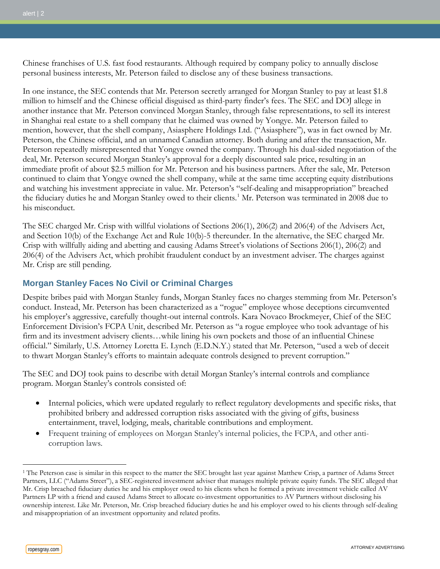Chinese franchises of U.S. fast food restaurants. Although required by company policy to annually disclose personal business interests, Mr. Peterson failed to disclose any of these business transactions.

In one instance, the SEC contends that Mr. Peterson secretly arranged for Morgan Stanley to pay at least \$1.8 million to himself and the Chinese official disguised as third-party finder's fees. The SEC and DOJ allege in another instance that Mr. Peterson convinced Morgan Stanley, through false representations, to sell its interest in Shanghai real estate to a shell company that he claimed was owned by Yongye. Mr. Peterson failed to mention, however, that the shell company, Asiasphere Holdings Ltd. ("Asiasphere"), was in fact owned by Mr. Peterson, the Chinese official, and an unnamed Canadian attorney. Both during and after the transaction, Mr. Peterson repeatedly misrepresented that Yongye owned the company. Through his dual-sided negotiation of the deal, Mr. Peterson secured Morgan Stanley's approval for a deeply discounted sale price, resulting in an immediate profit of about \$2.5 million for Mr. Peterson and his business partners. After the sale, Mr. Peterson continued to claim that Yongye owned the shell company, while at the same time accepting equity distributions and watching his investment appreciate in value. Mr. Peterson's "self-dealing and misappropriation" breached the fiduciary duties he and Morgan Stanley owed to their clients.<sup>[1](#page-1-0)</sup> Mr. Peterson was terminated in 2008 due to his misconduct.

The SEC charged Mr. Crisp with willful violations of Sections 206(1), 206(2) and 206(4) of the Advisers Act, and Section 10(b) of the Exchange Act and Rule 10(b)-5 thereunder. In the alternative, the SEC charged Mr. Crisp with willfully aiding and abetting and causing Adams Street's violations of Sections 206(1), 206(2) and 206(4) of the Advisers Act, which prohibit fraudulent conduct by an investment adviser. The charges against Mr. Crisp are still pending.

## **Morgan Stanley Faces No Civil or Criminal Charges**

Despite bribes paid with Morgan Stanley funds, Morgan Stanley faces no charges stemming from Mr. Peterson's conduct. Instead, Mr. Peterson has been characterized as a "rogue" employee whose deceptions circumvented his employer's aggressive, carefully thought-out internal controls. Kara Novaco Brockmeyer, Chief of the SEC Enforcement Division's FCPA Unit, described Mr. Peterson as "a rogue employee who took advantage of his firm and its investment advisery clients…while lining his own pockets and those of an influential Chinese official." Similarly, U.S. Attorney Loretta E. Lynch (E.D.N.Y.) stated that Mr. Peterson, "used a web of deceit to thwart Morgan Stanley's efforts to maintain adequate controls designed to prevent corruption."

The SEC and DOJ took pains to describe with detail Morgan Stanley's internal controls and compliance program. Morgan Stanley's controls consisted of:

- Internal policies, which were updated regularly to reflect regulatory developments and specific risks, that prohibited bribery and addressed corruption risks associated with the giving of gifts, business entertainment, travel, lodging, meals, charitable contributions and employment.
- Frequent training of employees on Morgan Stanley's internal policies, the FCPA, and other anticorruption laws.

 $\overline{a}$ 

<span id="page-1-0"></span><sup>&</sup>lt;sup>1</sup> The Peterson case is similar in this respect to the matter the SEC brought last year against Matthew Crisp, a partner of Adams Street Partners, LLC ("Adams Street"), a SEC-registered investment adviser that manages multiple private equity funds. The SEC alleged that Mr. Crisp breached fiduciary duties he and his employer owed to his clients when he formed a private investment vehicle called AV Partners LP with a friend and caused Adams Street to allocate co-investment opportunities to AV Partners without disclosing his ownership interest. Like Mr. Peterson, Mr. Crisp breached fiduciary duties he and his employer owed to his clients through self-dealing and misappropriation of an investment opportunity and related profits.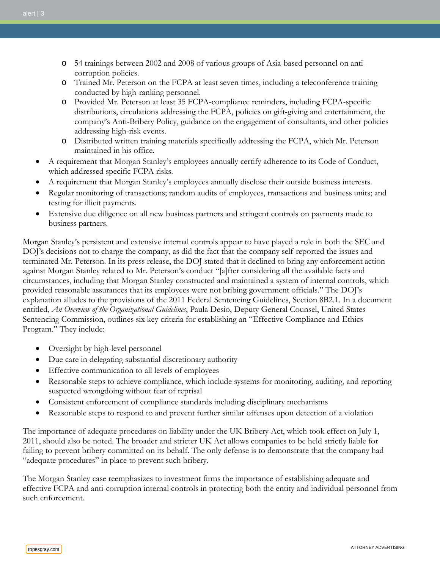- o 54 trainings between 2002 and 2008 of various groups of Asia-based personnel on anticorruption policies.
- o Trained Mr. Peterson on the FCPA at least seven times, including a teleconference training conducted by high-ranking personnel.
- o Provided Mr. Peterson at least 35 FCPA-compliance reminders, including FCPA-specific distributions, circulations addressing the FCPA, policies on gift-giving and entertainment, the company's Anti-Bribery Policy, guidance on the engagement of consultants, and other policies addressing high-risk events.
- o Distributed written training materials specifically addressing the FCPA, which Mr. Peterson maintained in his office.
- A requirement that Morgan Stanley's employees annually certify adherence to its Code of Conduct, which addressed specific FCPA risks.
- A requirement that Morgan Stanley's employees annually disclose their outside business interests.
- Regular monitoring of transactions; random audits of employees, transactions and business units; and testing for illicit payments.
- Extensive due diligence on all new business partners and stringent controls on payments made to business partners.

Morgan Stanley's persistent and extensive internal controls appear to have played a role in both the SEC and DOJ's decisions not to charge the company, as did the fact that the company self-reported the issues and terminated Mr. Peterson. In its press release, the DOJ stated that it declined to bring any enforcement action against Morgan Stanley related to Mr. Peterson's conduct "[a]fter considering all the available facts and circumstances, including that Morgan Stanley constructed and maintained a system of internal controls, which provided reasonable assurances that its employees were not bribing government officials." The DOJ's explanation alludes to the provisions of the 2011 Federal Sentencing Guidelines, Section 8B2.1. In a document entitled, *An Overview of the Organizational Guidelines*, Paula Desio, Deputy General Counsel, United States Sentencing Commission, outlines six key criteria for establishing an "Effective Compliance and Ethics Program." They include:

- Oversight by high-level personnel
- Due care in delegating substantial discretionary authority
- Effective communication to all levels of employees
- Reasonable steps to achieve compliance, which include systems for monitoring, auditing, and reporting suspected wrongdoing without fear of reprisal
- Consistent enforcement of compliance standards including disciplinary mechanisms
- Reasonable steps to respond to and prevent further similar offenses upon detection of a violation

The importance of adequate procedures on liability under the UK Bribery Act, which took effect on July 1, 2011, should also be noted. The broader and stricter UK Act allows companies to be held strictly liable for failing to prevent bribery committed on its behalf. The only defense is to demonstrate that the company had "adequate procedures" in place to prevent such bribery.

The Morgan Stanley case reemphasizes to investment firms the importance of establishing adequate and effective FCPA and anti-corruption internal controls in protecting both the entity and individual personnel from such enforcement.